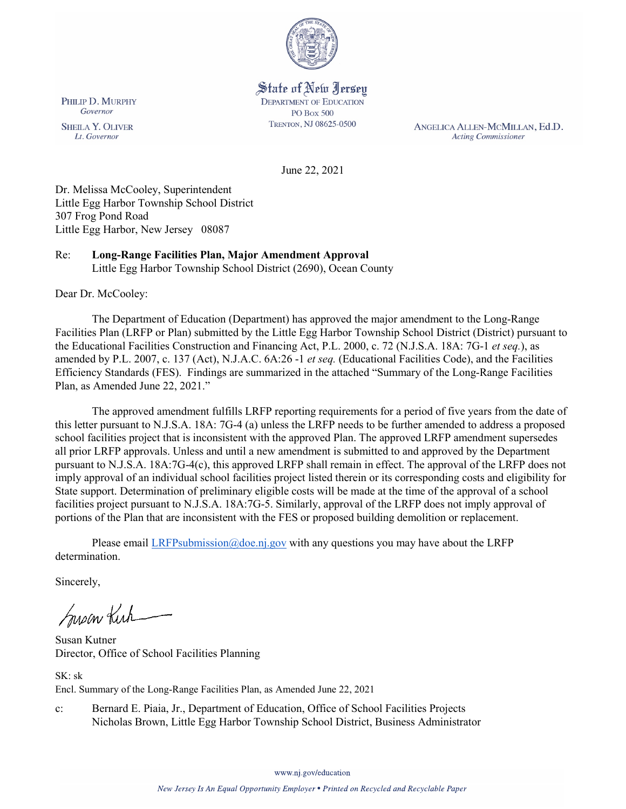

# State of New Jersey

**DEPARTMENT OF EDUCATION PO Box 500** TRENTON, NJ 08625-0500

ANGELICA ALLEN-MCMILLAN, Ed.D. **Acting Commissioner** 

June 22, 2021

Dr. Melissa McCooley, Superintendent Little Egg Harbor Township School District 307 Frog Pond Road Little Egg Harbor, New Jersey 08087

Re: **Long-Range Facilities Plan, Major Amendment Approval** Little Egg Harbor Township School District (2690), Ocean County

Dear Dr. McCooley:

PHILIP D. MURPHY

Governor

**SHEILA Y. OLIVER** 

Lt. Governor

The Department of Education (Department) has approved the major amendment to the Long-Range Facilities Plan (LRFP or Plan) submitted by the Little Egg Harbor Township School District (District) pursuant to the Educational Facilities Construction and Financing Act, P.L. 2000, c. 72 (N.J.S.A. 18A: 7G-1 *et seq.*), as amended by P.L. 2007, c. 137 (Act), N.J.A.C. 6A:26 -1 *et seq.* (Educational Facilities Code), and the Facilities Efficiency Standards (FES). Findings are summarized in the attached "Summary of the Long-Range Facilities Plan, as Amended June 22, 2021."

The approved amendment fulfills LRFP reporting requirements for a period of five years from the date of this letter pursuant to N.J.S.A. 18A: 7G-4 (a) unless the LRFP needs to be further amended to address a proposed school facilities project that is inconsistent with the approved Plan. The approved LRFP amendment supersedes all prior LRFP approvals. Unless and until a new amendment is submitted to and approved by the Department pursuant to N.J.S.A. 18A:7G-4(c), this approved LRFP shall remain in effect. The approval of the LRFP does not imply approval of an individual school facilities project listed therein or its corresponding costs and eligibility for State support. Determination of preliminary eligible costs will be made at the time of the approval of a school facilities project pursuant to N.J.S.A. 18A:7G-5. Similarly, approval of the LRFP does not imply approval of portions of the Plan that are inconsistent with the FES or proposed building demolition or replacement.

Please email [LRFPsubmission@doe.nj.gov](mailto:LRFPsubmission@doe.nj.gov) with any questions you may have about the LRFP determination.

Sincerely,

Susan Kich

Susan Kutner Director, Office of School Facilities Planning

SK: sk Encl. Summary of the Long-Range Facilities Plan, as Amended June 22, 2021

c: Bernard E. Piaia, Jr., Department of Education, Office of School Facilities Projects Nicholas Brown, Little Egg Harbor Township School District, Business Administrator

www.nj.gov/education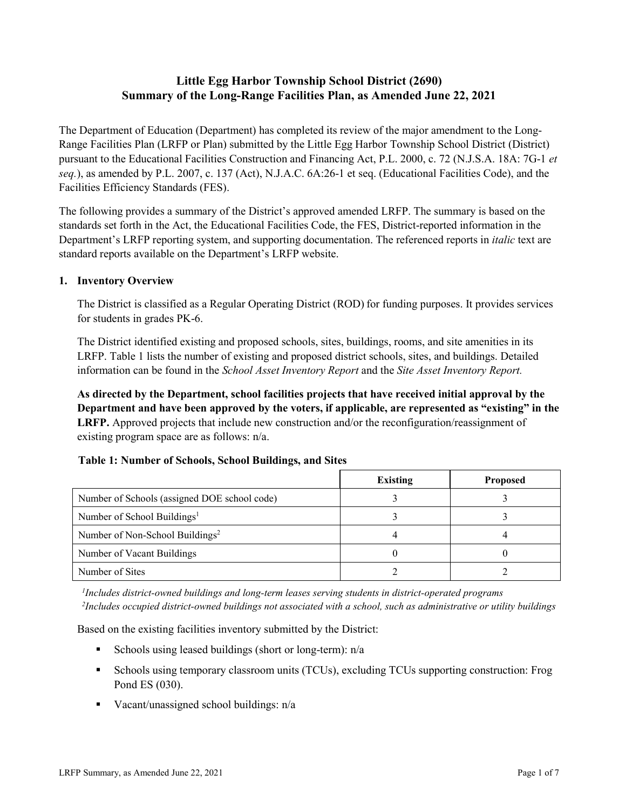# **Little Egg Harbor Township School District (2690) Summary of the Long-Range Facilities Plan, as Amended June 22, 2021**

The Department of Education (Department) has completed its review of the major amendment to the Long-Range Facilities Plan (LRFP or Plan) submitted by the Little Egg Harbor Township School District (District) pursuant to the Educational Facilities Construction and Financing Act, P.L. 2000, c. 72 (N.J.S.A. 18A: 7G-1 *et seq.*), as amended by P.L. 2007, c. 137 (Act), N.J.A.C. 6A:26-1 et seq. (Educational Facilities Code), and the Facilities Efficiency Standards (FES).

The following provides a summary of the District's approved amended LRFP. The summary is based on the standards set forth in the Act, the Educational Facilities Code, the FES, District-reported information in the Department's LRFP reporting system, and supporting documentation. The referenced reports in *italic* text are standard reports available on the Department's LRFP website.

### **1. Inventory Overview**

The District is classified as a Regular Operating District (ROD) for funding purposes. It provides services for students in grades PK-6.

The District identified existing and proposed schools, sites, buildings, rooms, and site amenities in its LRFP. Table 1 lists the number of existing and proposed district schools, sites, and buildings. Detailed information can be found in the *School Asset Inventory Report* and the *Site Asset Inventory Report.*

**As directed by the Department, school facilities projects that have received initial approval by the Department and have been approved by the voters, if applicable, are represented as "existing" in the LRFP.** Approved projects that include new construction and/or the reconfiguration/reassignment of existing program space are as follows: n/a.

| Table 1: Number of Schools, School Buildings, and Sites |  |  |  |
|---------------------------------------------------------|--|--|--|
|---------------------------------------------------------|--|--|--|

|                                              | <b>Existing</b> | <b>Proposed</b> |
|----------------------------------------------|-----------------|-----------------|
| Number of Schools (assigned DOE school code) |                 |                 |
| Number of School Buildings <sup>1</sup>      |                 |                 |
| Number of Non-School Buildings <sup>2</sup>  |                 |                 |
| Number of Vacant Buildings                   |                 |                 |
| Number of Sites                              |                 |                 |

*1 Includes district-owned buildings and long-term leases serving students in district-operated programs 2 Includes occupied district-owned buildings not associated with a school, such as administrative or utility buildings*

Based on the existing facilities inventory submitted by the District:

- Schools using leased buildings (short or long-term):  $n/a$
- Schools using temporary classroom units (TCUs), excluding TCUs supporting construction: Frog Pond ES (030).
- Vacant/unassigned school buildings:  $n/a$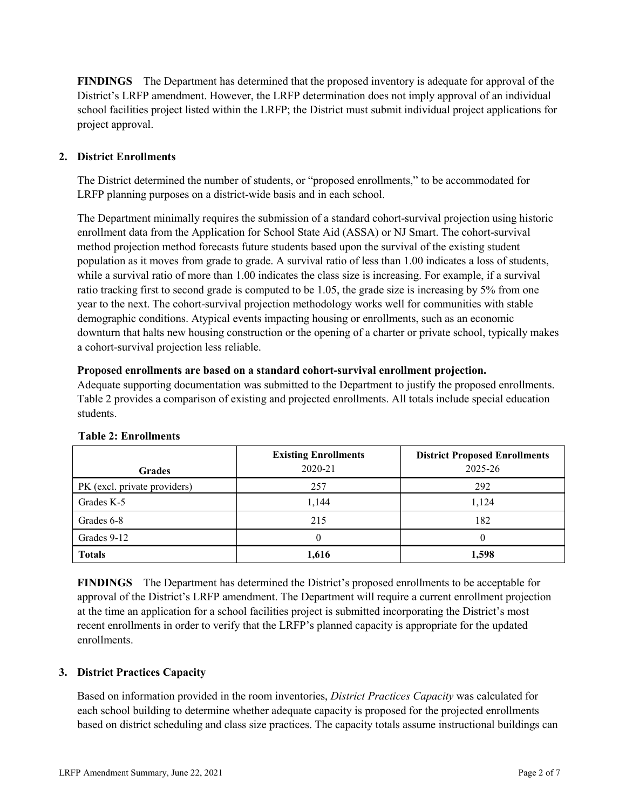**FINDINGS** The Department has determined that the proposed inventory is adequate for approval of the District's LRFP amendment. However, the LRFP determination does not imply approval of an individual school facilities project listed within the LRFP; the District must submit individual project applications for project approval.

## **2. District Enrollments**

The District determined the number of students, or "proposed enrollments," to be accommodated for LRFP planning purposes on a district-wide basis and in each school.

The Department minimally requires the submission of a standard cohort-survival projection using historic enrollment data from the Application for School State Aid (ASSA) or NJ Smart. The cohort-survival method projection method forecasts future students based upon the survival of the existing student population as it moves from grade to grade. A survival ratio of less than 1.00 indicates a loss of students, while a survival ratio of more than 1.00 indicates the class size is increasing. For example, if a survival ratio tracking first to second grade is computed to be 1.05, the grade size is increasing by 5% from one year to the next. The cohort-survival projection methodology works well for communities with stable demographic conditions. Atypical events impacting housing or enrollments, such as an economic downturn that halts new housing construction or the opening of a charter or private school, typically makes a cohort-survival projection less reliable.

#### **Proposed enrollments are based on a standard cohort-survival enrollment projection.**

Adequate supporting documentation was submitted to the Department to justify the proposed enrollments. Table 2 provides a comparison of existing and projected enrollments. All totals include special education students.

| <b>Grades</b>                | <b>Existing Enrollments</b><br>2020-21 | <b>District Proposed Enrollments</b><br>2025-26 |
|------------------------------|----------------------------------------|-------------------------------------------------|
| PK (excl. private providers) | 257                                    | 292                                             |
| Grades K-5                   | 1,144                                  | 1,124                                           |
| Grades 6-8                   | 215                                    | 182                                             |
| Grades 9-12                  |                                        |                                                 |
| <b>Totals</b>                | 1,616                                  | 1,598                                           |

#### **Table 2: Enrollments**

**FINDINGS** The Department has determined the District's proposed enrollments to be acceptable for approval of the District's LRFP amendment. The Department will require a current enrollment projection at the time an application for a school facilities project is submitted incorporating the District's most recent enrollments in order to verify that the LRFP's planned capacity is appropriate for the updated enrollments.

#### **3. District Practices Capacity**

Based on information provided in the room inventories, *District Practices Capacity* was calculated for each school building to determine whether adequate capacity is proposed for the projected enrollments based on district scheduling and class size practices. The capacity totals assume instructional buildings can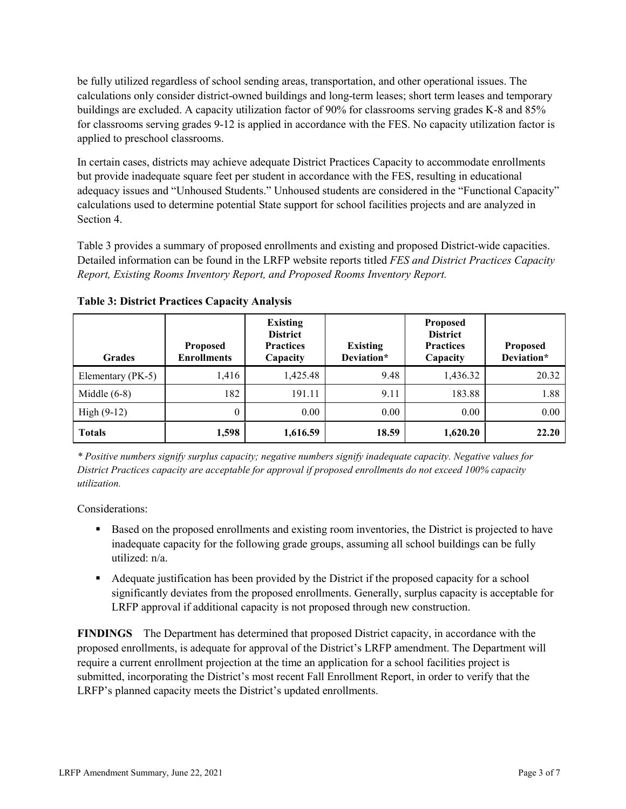be fully utilized regardless of school sending areas, transportation, and other operational issues. The calculations only consider district-owned buildings and long-term leases; short term leases and temporary buildings are excluded. A capacity utilization factor of 90% for classrooms serving grades K-8 and 85% for classrooms serving grades 9-12 is applied in accordance with the FES. No capacity utilization factor is applied to preschool classrooms.

In certain cases, districts may achieve adequate District Practices Capacity to accommodate enrollments but provide inadequate square feet per student in accordance with the FES, resulting in educational adequacy issues and "Unhoused Students." Unhoused students are considered in the "Functional Capacity" calculations used to determine potential State support for school facilities projects and are analyzed in Section 4.

Table 3 provides a summary of proposed enrollments and existing and proposed District-wide capacities. Detailed information can be found in the LRFP website reports titled *FES and District Practices Capacity Report, Existing Rooms Inventory Report, and Proposed Rooms Inventory Report.*

| <b>Grades</b>     | <b>Proposed</b><br><b>Enrollments</b> | <b>Existing</b><br><b>District</b><br><b>Practices</b><br>Capacity | <b>Existing</b><br>Deviation* | <b>Proposed</b><br><b>District</b><br><b>Practices</b><br>Capacity | <b>Proposed</b><br>Deviation* |
|-------------------|---------------------------------------|--------------------------------------------------------------------|-------------------------------|--------------------------------------------------------------------|-------------------------------|
| Elementary (PK-5) | 1,416                                 | 1,425.48                                                           | 9.48                          | 1,436.32                                                           | 20.32                         |
| Middle $(6-8)$    | 182                                   | 191.11                                                             | 9.11                          | 183.88                                                             | 1.88                          |
| High $(9-12)$     | $\theta$                              | 0.00                                                               | 0.00                          | 0.00                                                               | 0.00                          |
| <b>Totals</b>     | 1,598                                 | 1,616.59                                                           | 18.59                         | 1,620.20                                                           | 22.20                         |

**Table 3: District Practices Capacity Analysis**

*\* Positive numbers signify surplus capacity; negative numbers signify inadequate capacity. Negative values for District Practices capacity are acceptable for approval if proposed enrollments do not exceed 100% capacity utilization.*

Considerations:

- **Based on the proposed enrollments and existing room inventories, the District is projected to have** inadequate capacity for the following grade groups, assuming all school buildings can be fully utilized: n/a.
- Adequate justification has been provided by the District if the proposed capacity for a school significantly deviates from the proposed enrollments. Generally, surplus capacity is acceptable for LRFP approval if additional capacity is not proposed through new construction.

**FINDINGS**The Department has determined that proposed District capacity, in accordance with the proposed enrollments, is adequate for approval of the District's LRFP amendment. The Department will require a current enrollment projection at the time an application for a school facilities project is submitted, incorporating the District's most recent Fall Enrollment Report, in order to verify that the LRFP's planned capacity meets the District's updated enrollments.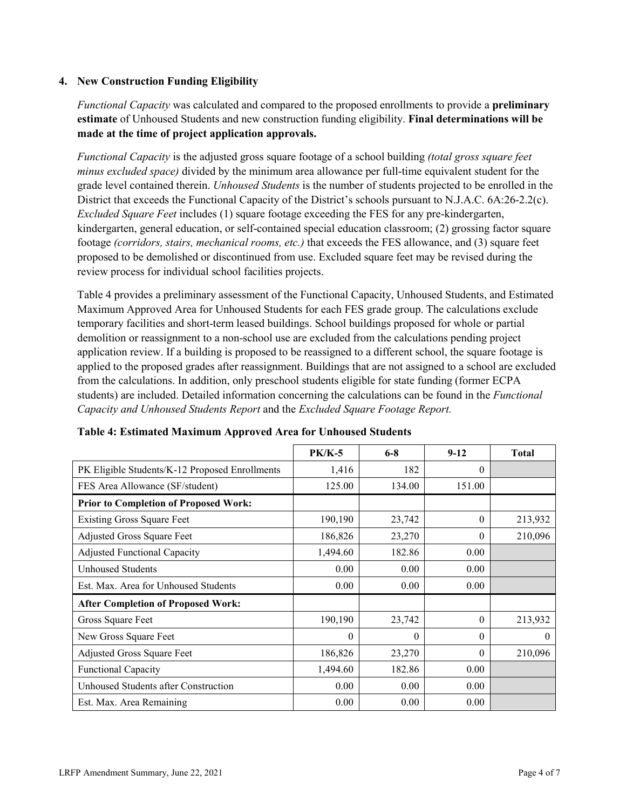### **4. New Construction Funding Eligibility**

*Functional Capacity* was calculated and compared to the proposed enrollments to provide a **preliminary estimate** of Unhoused Students and new construction funding eligibility. **Final determinations will be made at the time of project application approvals.**

*Functional Capacity* is the adjusted gross square footage of a school building *(total gross square feet minus excluded space)* divided by the minimum area allowance per full-time equivalent student for the grade level contained therein. *Unhoused Students* is the number of students projected to be enrolled in the District that exceeds the Functional Capacity of the District's schools pursuant to N.J.A.C. 6A:26-2.2(c). *Excluded Square Feet* includes (1) square footage exceeding the FES for any pre-kindergarten, kindergarten, general education, or self-contained special education classroom; (2) grossing factor square footage *(corridors, stairs, mechanical rooms, etc.)* that exceeds the FES allowance, and (3) square feet proposed to be demolished or discontinued from use. Excluded square feet may be revised during the review process for individual school facilities projects.

Table 4 provides a preliminary assessment of the Functional Capacity, Unhoused Students, and Estimated Maximum Approved Area for Unhoused Students for each FES grade group. The calculations exclude temporary facilities and short-term leased buildings. School buildings proposed for whole or partial demolition or reassignment to a non-school use are excluded from the calculations pending project application review. If a building is proposed to be reassigned to a different school, the square footage is applied to the proposed grades after reassignment. Buildings that are not assigned to a school are excluded from the calculations. In addition, only preschool students eligible for state funding (former ECPA students) are included. Detailed information concerning the calculations can be found in the *Functional Capacity and Unhoused Students Report* and the *Excluded Square Footage Report.*

|                                                | $PK/K-5$ | $6 - 8$  | $9 - 12$ | <b>Total</b> |
|------------------------------------------------|----------|----------|----------|--------------|
| PK Eligible Students/K-12 Proposed Enrollments | 1,416    | 182      | $\Omega$ |              |
| FES Area Allowance (SF/student)                | 125.00   | 134.00   | 151.00   |              |
| <b>Prior to Completion of Proposed Work:</b>   |          |          |          |              |
| <b>Existing Gross Square Feet</b>              | 190,190  | 23,742   | $\Omega$ | 213,932      |
| Adjusted Gross Square Feet                     | 186,826  | 23,270   | 0        | 210,096      |
| <b>Adjusted Functional Capacity</b>            | 1,494.60 | 182.86   | 0.00     |              |
| <b>Unhoused Students</b>                       | 0.00     | 0.00     | 0.00     |              |
| Est. Max. Area for Unhoused Students           | 0.00     | 0.00     | 0.00     |              |
| <b>After Completion of Proposed Work:</b>      |          |          |          |              |
| Gross Square Feet                              | 190,190  | 23,742   | $\theta$ | 213,932      |
| New Gross Square Feet                          | $\theta$ | $\theta$ | $\Omega$ | $\theta$     |
| Adjusted Gross Square Feet                     | 186,826  | 23,270   | $\Omega$ | 210,096      |
| Functional Capacity                            | 1,494.60 | 182.86   | 0.00     |              |
| Unhoused Students after Construction           | 0.00     | 0.00     | 0.00     |              |
| Est. Max. Area Remaining                       | 0.00     | 0.00     | 0.00     |              |

| Table 4: Estimated Maximum Approved Area for Unhoused Students |  |  |
|----------------------------------------------------------------|--|--|
|----------------------------------------------------------------|--|--|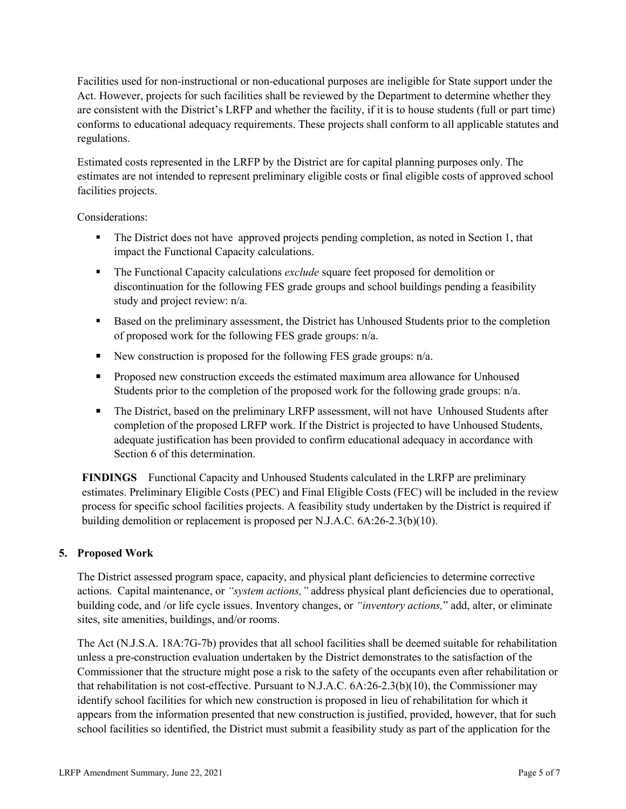Facilities used for non-instructional or non-educational purposes are ineligible for State support under the Act. However, projects for such facilities shall be reviewed by the Department to determine whether they are consistent with the District's LRFP and whether the facility, if it is to house students (full or part time) conforms to educational adequacy requirements. These projects shall conform to all applicable statutes and regulations.

Estimated costs represented in the LRFP by the District are for capital planning purposes only. The estimates are not intended to represent preliminary eligible costs or final eligible costs of approved school facilities projects.

Considerations:

- The District does not have approved projects pending completion, as noted in Section 1, that impact the Functional Capacity calculations.
- The Functional Capacity calculations *exclude* square feet proposed for demolition or discontinuation for the following FES grade groups and school buildings pending a feasibility study and project review: n/a.
- Based on the preliminary assessment, the District has Unhoused Students prior to the completion of proposed work for the following FES grade groups: n/a.
- New construction is proposed for the following FES grade groups:  $n/a$ .
- **Proposed new construction exceeds the estimated maximum area allowance for Unhoused** Students prior to the completion of the proposed work for the following grade groups: n/a.
- The District, based on the preliminary LRFP assessment, will not have Unhoused Students after completion of the proposed LRFP work. If the District is projected to have Unhoused Students, adequate justification has been provided to confirm educational adequacy in accordance with Section 6 of this determination.

**FINDINGS** Functional Capacity and Unhoused Students calculated in the LRFP are preliminary estimates. Preliminary Eligible Costs (PEC) and Final Eligible Costs (FEC) will be included in the review process for specific school facilities projects. A feasibility study undertaken by the District is required if building demolition or replacement is proposed per N.J.A.C. 6A:26-2.3(b)(10).

## **5. Proposed Work**

The District assessed program space, capacity, and physical plant deficiencies to determine corrective actions. Capital maintenance, or *"system actions,"* address physical plant deficiencies due to operational, building code, and /or life cycle issues. Inventory changes, or *"inventory actions,*" add, alter, or eliminate sites, site amenities, buildings, and/or rooms.

The Act (N.J.S.A. 18A:7G-7b) provides that all school facilities shall be deemed suitable for rehabilitation unless a pre-construction evaluation undertaken by the District demonstrates to the satisfaction of the Commissioner that the structure might pose a risk to the safety of the occupants even after rehabilitation or that rehabilitation is not cost-effective. Pursuant to N.J.A.C. 6A:26-2.3(b)(10), the Commissioner may identify school facilities for which new construction is proposed in lieu of rehabilitation for which it appears from the information presented that new construction is justified, provided, however, that for such school facilities so identified, the District must submit a feasibility study as part of the application for the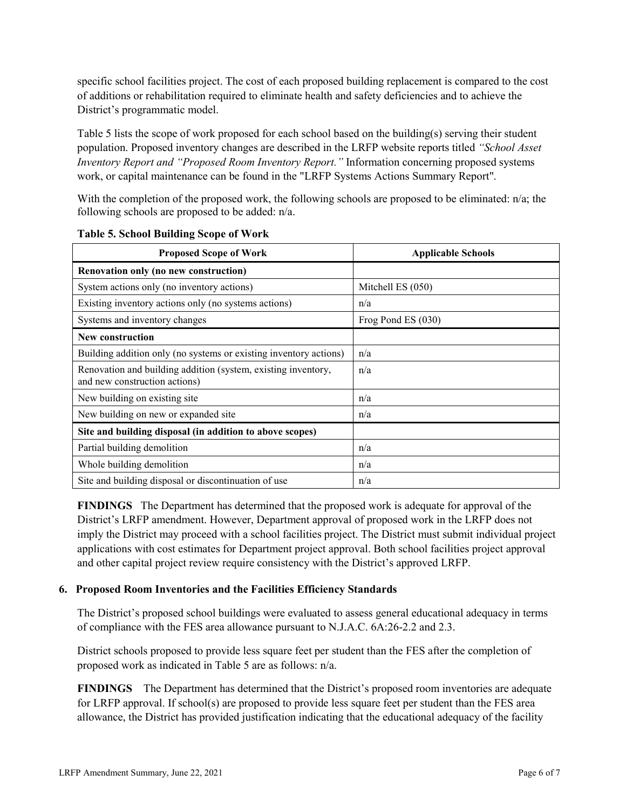specific school facilities project. The cost of each proposed building replacement is compared to the cost of additions or rehabilitation required to eliminate health and safety deficiencies and to achieve the District's programmatic model.

Table 5 lists the scope of work proposed for each school based on the building(s) serving their student population. Proposed inventory changes are described in the LRFP website reports titled *"School Asset Inventory Report and "Proposed Room Inventory Report."* Information concerning proposed systems work, or capital maintenance can be found in the "LRFP Systems Actions Summary Report".

With the completion of the proposed work, the following schools are proposed to be eliminated: n/a; the following schools are proposed to be added: n/a.

| <b>Proposed Scope of Work</b>                                                                  | <b>Applicable Schools</b> |  |
|------------------------------------------------------------------------------------------------|---------------------------|--|
| Renovation only (no new construction)                                                          |                           |  |
| System actions only (no inventory actions)                                                     | Mitchell ES (050)         |  |
| Existing inventory actions only (no systems actions)                                           | n/a                       |  |
| Systems and inventory changes                                                                  | Frog Pond ES (030)        |  |
| New construction                                                                               |                           |  |
| Building addition only (no systems or existing inventory actions)                              | n/a                       |  |
| Renovation and building addition (system, existing inventory,<br>and new construction actions) | n/a                       |  |
| New building on existing site                                                                  | n/a                       |  |
| New building on new or expanded site                                                           | n/a                       |  |
| Site and building disposal (in addition to above scopes)                                       |                           |  |
| Partial building demolition                                                                    | n/a                       |  |
| Whole building demolition                                                                      | n/a                       |  |
| Site and building disposal or discontinuation of use                                           | n/a                       |  |

**Table 5. School Building Scope of Work**

**FINDINGS** The Department has determined that the proposed work is adequate for approval of the District's LRFP amendment. However, Department approval of proposed work in the LRFP does not imply the District may proceed with a school facilities project. The District must submit individual project applications with cost estimates for Department project approval. Both school facilities project approval and other capital project review require consistency with the District's approved LRFP.

#### **6. Proposed Room Inventories and the Facilities Efficiency Standards**

The District's proposed school buildings were evaluated to assess general educational adequacy in terms of compliance with the FES area allowance pursuant to N.J.A.C. 6A:26-2.2 and 2.3.

District schools proposed to provide less square feet per student than the FES after the completion of proposed work as indicated in Table 5 are as follows: n/a.

**FINDINGS** The Department has determined that the District's proposed room inventories are adequate for LRFP approval. If school(s) are proposed to provide less square feet per student than the FES area allowance, the District has provided justification indicating that the educational adequacy of the facility